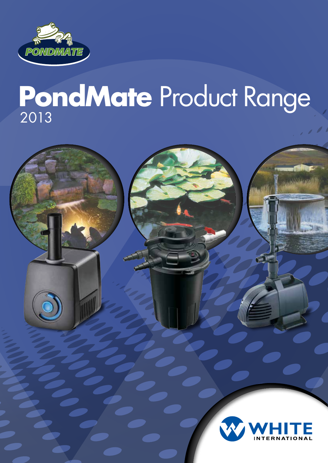

# **PondMate** Product Range <sup>2013</sup>

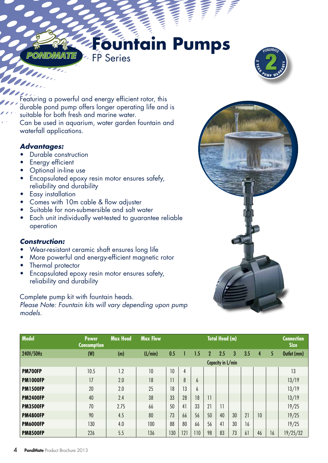## *PONDMATE* **Fountain Pumps**

![](_page_1_Picture_1.jpeg)

Featuring a powerful and energy efficient rotor, this durable pond pump offers longer operating life and is suitable for both fresh and marine water. Can be used in aquarium, water garden fountain and waterfall applications.

FP Series

#### *Advantages:*

- Durable construction
- Energy efficient
- Optional in-line use
- Encapsulated epoxy resin motor ensures safefy, reliability and durability
- Easy installation
- Comes with 10m cable & flow adjuster
- Suitable for non-submersible and salt water
- Each unit individually wet-tested to guarantee reliable operation

#### *Construction:*

- Wear-resistant ceramic shaft ensures long life
- More powerful and energy-efficient magnetic rotor
- Thermal protector
- Encapsulated epoxy resin motor ensures safety, reliability and durability

Complete pump kit with fountain heads. *Please Note: Fountain kits will vary depending upon pump models.*

![](_page_1_Picture_18.jpeg)

| <b>Model</b>    | <b>Power</b><br><b>Consumption</b> | <b>Max Head</b> | <b>Max Flow</b> | <b>Total Head (m)</b> |     |     |              |                         |    |     |    |    | <b>Connection</b><br><b>Size</b> |  |
|-----------------|------------------------------------|-----------------|-----------------|-----------------------|-----|-----|--------------|-------------------------|----|-----|----|----|----------------------------------|--|
| 240V/50Hz       | (W)                                | (m)             | (L/min)         | 0.5                   |     | 1.5 | $\mathbf{2}$ | 2.5                     | 3  | 3.5 | 4  | 5  | Outlet (mm)                      |  |
|                 |                                    |                 |                 | Capacity in L/min     |     |     |              |                         |    |     |    |    |                                  |  |
| PM700FP         | 10.5                               | 1.2             | 10              | 10                    | 4   |     |              |                         |    |     |    |    | 13                               |  |
| <b>PM1000FP</b> | 17                                 | 2.0             | 18              | 11                    | 8   | 6   |              |                         |    |     |    |    | 13/19                            |  |
| <b>PM1500FP</b> | 20                                 | 2.0             | 25              | 18                    | 13  | 6   |              |                         |    |     |    |    | 13/19                            |  |
| <b>PM2400FP</b> | 40                                 | 2.4             | 38              | 33                    | 28  | 18  | 11           |                         |    |     |    |    | 13/19                            |  |
| <b>PM3500FP</b> | 70                                 | 2.75            | 66              | 50                    | 41  | 33  | 21           | $\overline{\mathbf{1}}$ |    |     |    |    | 19/25                            |  |
| <b>PM4800FP</b> | 90                                 | 4.5             | 80              | 73                    | 66  | 56  | 50           | 40                      | 30 | 21  | 10 |    | 19/25                            |  |
| <b>PM6000FP</b> | 130                                | 4.0             | 100             | 88                    | 80  | 66  | 56           | 41                      | 30 | 16  |    |    | 19/25                            |  |
| <b>PM8500FP</b> | 226                                | 5.5             | 136             | 130                   | 121 | 110 | 98           | 83                      | 73 | 6   | 46 | 16 | 19/25/32                         |  |